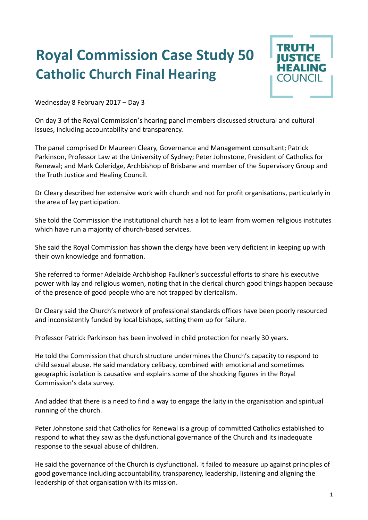## **Royal Commission Case Study 50 Catholic Church Final Hearing**



Wednesday 8 February 2017 – Day 3

On day 3 of the Royal Commission's hearing panel members discussed structural and cultural issues, including accountability and transparency.

The panel comprised Dr Maureen Cleary, Governance and Management consultant; Patrick Parkinson, Professor Law at the University of Sydney; Peter Johnstone, President of Catholics for Renewal; and Mark Coleridge, Archbishop of Brisbane and member of the Supervisory Group and the Truth Justice and Healing Council.

Dr Cleary described her extensive work with church and not for profit organisations, particularly in the area of lay participation.

She told the Commission the institutional church has a lot to learn from women religious institutes which have run a majority of church-based services.

She said the Royal Commission has shown the clergy have been very deficient in keeping up with their own knowledge and formation.

She referred to former Adelaide Archbishop Faulkner's successful efforts to share his executive power with lay and religious women, noting that in the clerical church good things happen because of the presence of good people who are not trapped by clericalism.

Dr Cleary said the Church's network of professional standards offices have been poorly resourced and inconsistently funded by local bishops, setting them up for failure.

Professor Patrick Parkinson has been involved in child protection for nearly 30 years.

He told the Commission that church structure undermines the Church's capacity to respond to child sexual abuse. He said mandatory celibacy, combined with emotional and sometimes geographic isolation is causative and explains some of the shocking figures in the Royal Commission's data survey.

And added that there is a need to find a way to engage the laity in the organisation and spiritual running of the church.

Peter Johnstone said that Catholics for Renewal is a group of committed Catholics established to respond to what they saw as the dysfunctional governance of the Church and its inadequate response to the sexual abuse of children.

He said the governance of the Church is dysfunctional. It failed to measure up against principles of good governance including accountability, transparency, leadership, listening and aligning the leadership of that organisation with its mission.